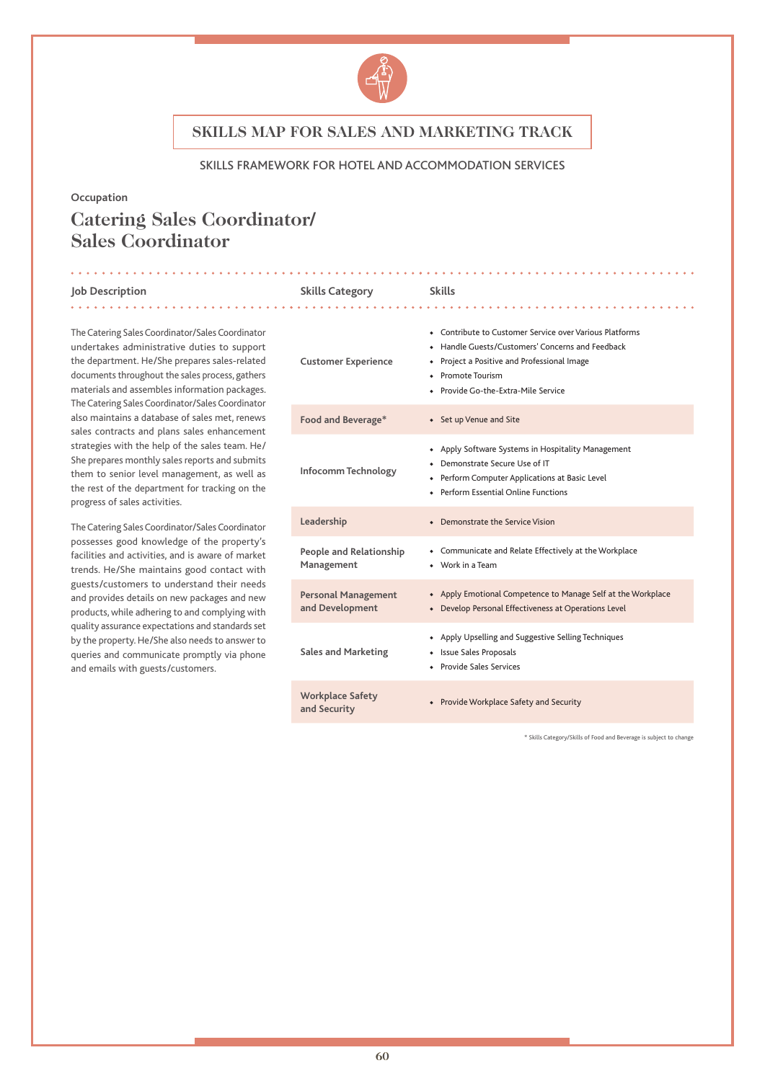

#### SKILLS FRAMEWORK FOR HOTEL AND ACCOMMODATION SERVICES

#### **Occupation**

# **Catering Sales Coordinator/ Sales Coordinator**

#### **Job Description Skills Category Skills**

The Catering Sales Coordinator/Sales Coordinator undertakes administrative duties to support the department. He/She prepares sales-related documents throughout the sales process, gathers materials and assembles information packages. The Catering Sales Coordinator/Sales Coordinator also maintains a database of sales met, renews sales contracts and plans sales enhancement strategies with the help of the sales team. He/ She prepares monthly sales reports and submits them to senior level management, as well as the rest of the department for tracking on the progress of sales activities.

The Catering Sales Coordinator/Sales Coordinator possesses good knowledge of the property's facilities and activities, and is aware of market trends. He/She maintains good contact with guests/customers to understand their needs and provides details on new packages and new products, while adhering to and complying with quality assurance expectations and standards set by the property. He/She also needs to answer to queries and communicate promptly via phone and emails with guests/customers.

| <b>Customer Experience</b>                    | • Contribute to Customer Service over Various Platforms<br>• Handle Guests/Customers' Concerns and Feedback<br>• Project a Positive and Professional Image<br>• Promote Tourism<br>• Provide Go-the-Extra-Mile Service |
|-----------------------------------------------|------------------------------------------------------------------------------------------------------------------------------------------------------------------------------------------------------------------------|
| Food and Beverage*                            | • Set up Venue and Site                                                                                                                                                                                                |
| Infocomm Technology                           | • Apply Software Systems in Hospitality Management<br>• Demonstrate Secure Use of IT<br>+ Perform Computer Applications at Basic Level<br>◆ Perform Essential Online Functions                                         |
| Leadership                                    | • Demonstrate the Service Vision                                                                                                                                                                                       |
| <b>People and Relationship</b><br>Management  | • Communicate and Relate Effectively at the Workplace<br>• Work in a Team                                                                                                                                              |
| <b>Personal Management</b><br>and Development | • Apply Emotional Competence to Manage Self at the Workplace<br>• Develop Personal Effectiveness at Operations Level                                                                                                   |
| <b>Sales and Marketing</b>                    | • Apply Upselling and Suggestive Selling Techniques<br>• Issue Sales Proposals<br>• Provide Sales Services                                                                                                             |
| <b>Workplace Safety</b><br>and Security       | • Provide Workplace Safety and Security                                                                                                                                                                                |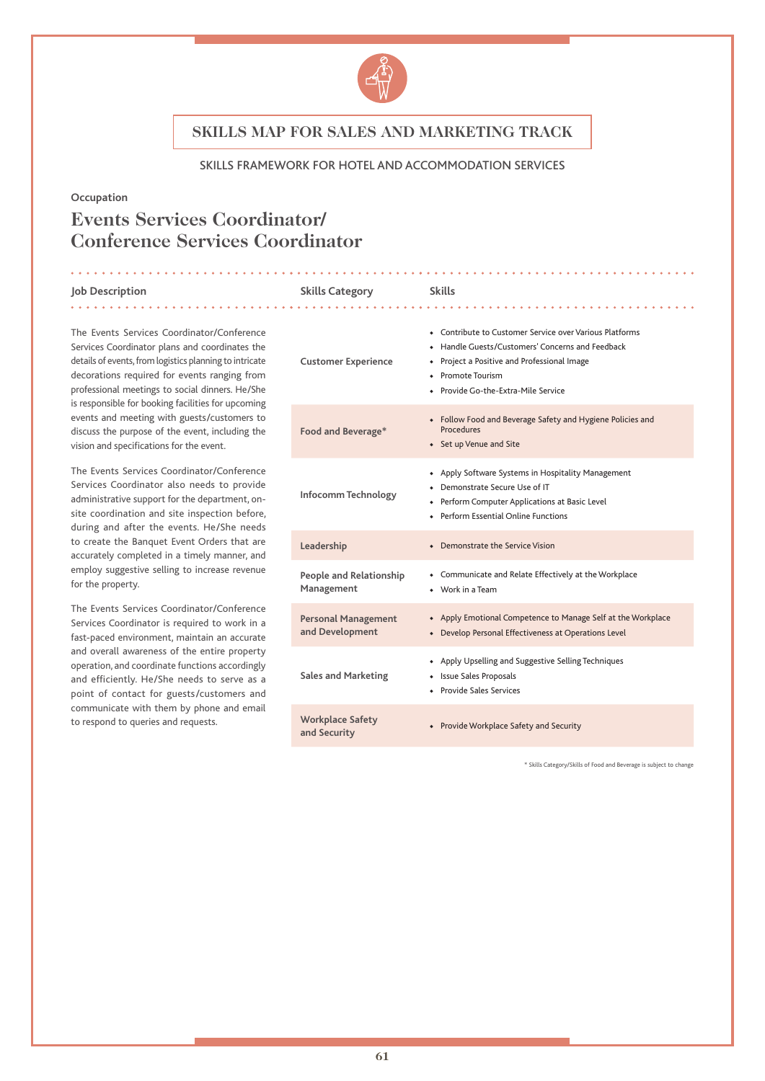

#### SKILLS FRAMEWORK FOR HOTEL AND ACCOMMODATION SERVICES

#### **Occupation**

# **Events Services Coordinator/ Conference Services Coordinator**

#### **Job Description Skills Category Skills**

The Events Services Coordinator/Conference Services Coordinator plans and coordinates the details of events, from logistics planning to intricate decorations required for events ranging from professional meetings to social dinners. He/She is responsible for booking facilities for upcoming events and meeting with guests/customers to discuss the purpose of the event, including the vision and specifications for the event.

The Events Services Coordinator/Conference Services Coordinator also needs to provide administrative support for the department, onsite coordination and site inspection before, during and after the events. He/She needs to create the Banquet Event Orders that are accurately completed in a timely manner, and employ suggestive selling to increase revenue for the property.

The Events Services Coordinator/Conference Services Coordinator is required to work in a fast-paced environment, maintain an accurate and overall awareness of the entire property operation, and coordinate functions accordingly and efficiently. He/She needs to serve as a point of contact for guests/customers and communicate with them by phone and email to respond to queries and requests.

| <b>Customer Experience</b>                    | • Contribute to Customer Service over Various Platforms<br>• Handle Guests/Customers' Concerns and Feedback<br>Project a Positive and Professional Image<br>• Promote Tourism<br>• Provide Go-the-Extra-Mile Service |
|-----------------------------------------------|----------------------------------------------------------------------------------------------------------------------------------------------------------------------------------------------------------------------|
| Food and Beverage*                            | • Follow Food and Beverage Safety and Hygiene Policies and<br>Procedures<br>• Set up Venue and Site                                                                                                                  |
| Infocomm Technology                           | • Apply Software Systems in Hospitality Management<br>• Demonstrate Secure Use of IT<br>+ Perform Computer Applications at Basic Level<br>◆ Perform Essential Online Functions                                       |
| Leadership                                    | • Demonstrate the Service Vision                                                                                                                                                                                     |
| People and Relationship<br>Management         | • Communicate and Relate Effectively at the Workplace<br>$\bullet$ Work in a Team                                                                                                                                    |
| <b>Personal Management</b><br>and Development | • Apply Emotional Competence to Manage Self at the Workplace<br>• Develop Personal Effectiveness at Operations Level                                                                                                 |
| <b>Sales and Marketing</b>                    | • Apply Upselling and Suggestive Selling Techniques<br>• Issue Sales Proposals<br>• Provide Sales Services                                                                                                           |
| <b>Workplace Safety</b><br>and Security       | • Provide Workplace Safety and Security                                                                                                                                                                              |
|                                               |                                                                                                                                                                                                                      |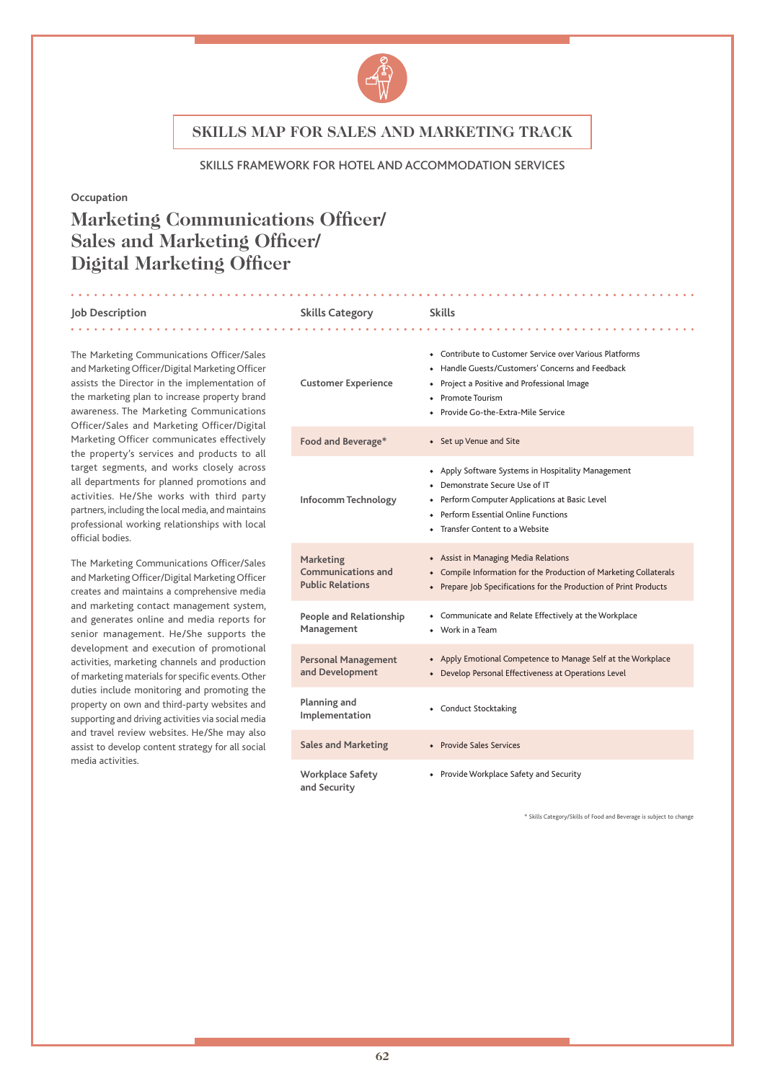

#### SKILLS FRAMEWORK FOR HOTEL AND ACCOMMODATION SERVICES

#### **Occupation**

# **Marketing Communications Officer/ Sales and Marketing Officer/ Digital Marketing Officer**

#### **Job Description Skills Category Skills**

#### The Marketing Communications Officer/Sales and Marketing Officer/Digital Marketing Officer assists the Director in the implementation of the marketing plan to increase property brand awareness. The Marketing Communications Officer/Sales and Marketing Officer/Digital Marketing Officer communicates effectively the property's services and products to all target segments, and works closely across all departments for planned promotions and activities. He/She works with third party partners, including the local media, and maintains professional working relationships with local official bodies.

The Marketing Communications Officer/Sales and Marketing Officer/Digital Marketing Officer creates and maintains a comprehensive media and marketing contact management system, and generates online and media reports for senior management. He/She supports the development and execution of promotional activities, marketing channels and production of marketing materials for specific events. Other duties include monitoring and promoting the property on own and third-party websites and supporting and driving activities via social media and travel review websites. He/She may also assist to develop content strategy for all social media activities.

## 

#### **Customer Experience** ◆ Contribute to Customer Service over Various Platforms ◆ Handle Guests/Customers' Concerns and Feedback ◆ Project a Positive and Professional Image ◆ Promote Tourism ◆ Provide Go-the-Extra-Mile Service **Food and Beverage\*** ◆ Set up Venue and Site **Infocomm Technology** ◆ Apply Software Systems in Hospitality Management ◆ Demonstrate Secure Use of IT ◆ Perform Computer Applications at Basic Level ◆ Perform Essential Online Functions ◆ Transfer Content to a Website **Marketing Communications and Public Relations** ◆ Assist in Managing Media Relations ◆ Compile Information for the Production of Marketing Collaterals ◆ Prepare Job Specifications for the Production of Print Products **People and Relationship Management** ◆ Communicate and Relate Effectively at the Workplace ◆ Work in a Team **Personal Management and Development** ◆ Apply Emotional Competence to Manage Self at the Workplace ◆ Develop Personal Effectiveness at Operations Level **Planning and Implementation** • Conduct Stocktaking **Sales and Marketing** ◆ Provide Sales Services **Workplace Safety and Security** ◆ Provide Workplace Safety and Security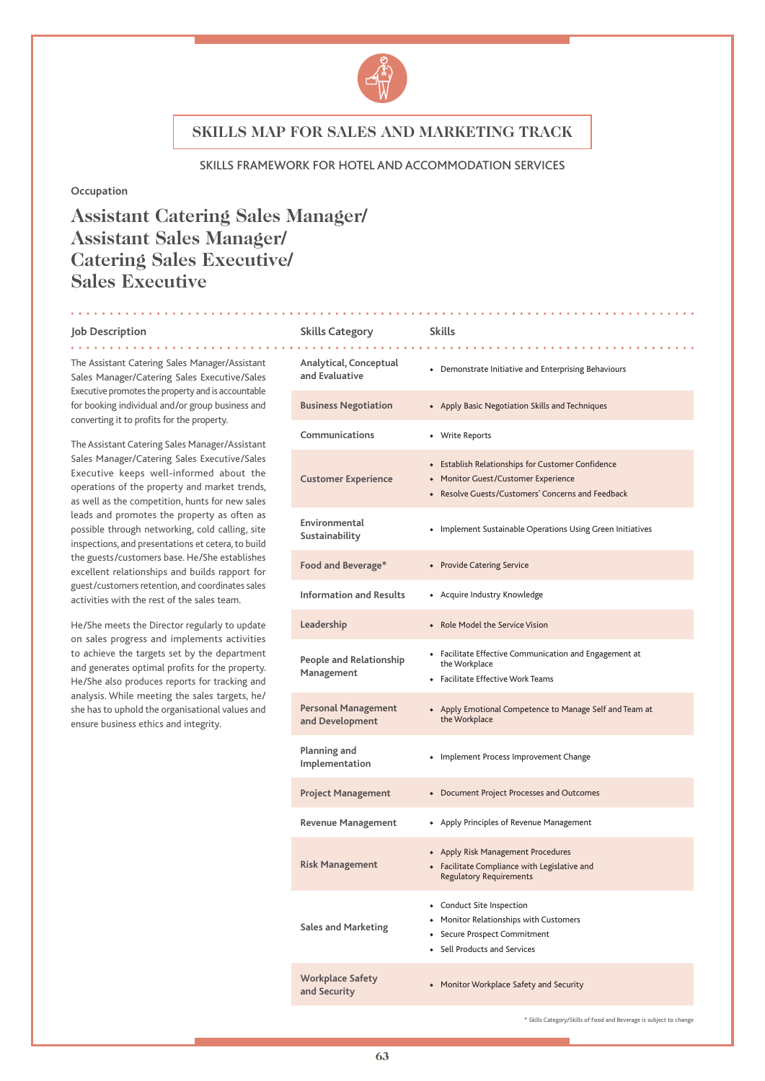

#### SKILLS FRAMEWORK FOR HOTEL AND ACCOMMODATION SERVICES

### **Occupation**

# **Assistant Catering Sales Manager/ Assistant Sales Manager/ Catering Sales Executive/ Sales Executive**

<u>a a a a a a a a a</u>

<u>. . . . . . . . . . .</u>

#### **Job Description**

. . . . . . .

| Job Description                                                                                                                                                                                                                                                                                                                                                                                                                                                                                         | <b>Skills Category</b>                        | <b>Skills</b>                                                                                                                                 |
|---------------------------------------------------------------------------------------------------------------------------------------------------------------------------------------------------------------------------------------------------------------------------------------------------------------------------------------------------------------------------------------------------------------------------------------------------------------------------------------------------------|-----------------------------------------------|-----------------------------------------------------------------------------------------------------------------------------------------------|
| The Assistant Catering Sales Manager/Assistant<br>Sales Manager/Catering Sales Executive/Sales<br>Executive promotes the property and is accountable<br>for booking individual and/or group business and<br>converting it to profits for the property.<br>The Assistant Catering Sales Manager/Assistant<br>Sales Manager/Catering Sales Executive/Sales<br>Executive keeps well-informed about the<br>operations of the property and market trends,<br>as well as the competition, hunts for new sales | Analytical, Conceptual<br>and Evaluative      | • Demonstrate Initiative and Enterprising Behaviours                                                                                          |
|                                                                                                                                                                                                                                                                                                                                                                                                                                                                                                         | <b>Business Negotiation</b>                   | • Apply Basic Negotiation Skills and Techniques                                                                                               |
|                                                                                                                                                                                                                                                                                                                                                                                                                                                                                                         | Communications                                | • Write Reports                                                                                                                               |
|                                                                                                                                                                                                                                                                                                                                                                                                                                                                                                         | <b>Customer Experience</b>                    | • Establish Relationships for Customer Confidence<br>• Monitor Guest/Customer Experience<br>• Resolve Guests/Customers' Concerns and Feedback |
| leads and promotes the property as often as<br>possible through networking, cold calling, site<br>inspections, and presentations et cetera, to build                                                                                                                                                                                                                                                                                                                                                    | Environmental<br>Sustainability               | • Implement Sustainable Operations Using Green Initiatives                                                                                    |
| the guests/customers base. He/She establishes<br>excellent relationships and builds rapport for                                                                                                                                                                                                                                                                                                                                                                                                         | Food and Beverage*                            | • Provide Catering Service                                                                                                                    |
| guest/customers retention, and coordinates sales<br>activities with the rest of the sales team.                                                                                                                                                                                                                                                                                                                                                                                                         | <b>Information and Results</b>                | • Acquire Industry Knowledge                                                                                                                  |
| He/She meets the Director regularly to update                                                                                                                                                                                                                                                                                                                                                                                                                                                           | Leadership                                    | • Role Model the Service Vision                                                                                                               |
| on sales progress and implements activities<br>to achieve the targets set by the department<br>and generates optimal profits for the property.<br>He/She also produces reports for tracking and<br>analysis. While meeting the sales targets, he/<br>she has to uphold the organisational values and<br>ensure business ethics and integrity.                                                                                                                                                           | <b>People and Relationship</b><br>Management  | • Facilitate Effective Communication and Engagement at<br>the Workplace<br>• Facilitate Effective Work Teams                                  |
|                                                                                                                                                                                                                                                                                                                                                                                                                                                                                                         | <b>Personal Management</b><br>and Development | • Apply Emotional Competence to Manage Self and Team at<br>the Workplace                                                                      |
|                                                                                                                                                                                                                                                                                                                                                                                                                                                                                                         | Planning and<br>Implementation                | • Implement Process Improvement Change                                                                                                        |
|                                                                                                                                                                                                                                                                                                                                                                                                                                                                                                         | <b>Project Management</b>                     | • Document Project Processes and Outcomes                                                                                                     |
|                                                                                                                                                                                                                                                                                                                                                                                                                                                                                                         | <b>Revenue Management</b>                     | • Apply Principles of Revenue Management                                                                                                      |
|                                                                                                                                                                                                                                                                                                                                                                                                                                                                                                         | <b>Risk Management</b>                        | • Apply Risk Management Procedures<br>• Facilitate Compliance with Legislative and<br><b>Regulatory Requirements</b>                          |
|                                                                                                                                                                                                                                                                                                                                                                                                                                                                                                         | <b>Sales and Marketing</b>                    | • Conduct Site Inspection<br>Monitor Relationships with Customers<br>Secure Prospect Commitment<br>• Sell Products and Services               |
|                                                                                                                                                                                                                                                                                                                                                                                                                                                                                                         | <b>Workplace Safety</b><br>and Security       | • Monitor Workplace Safety and Security                                                                                                       |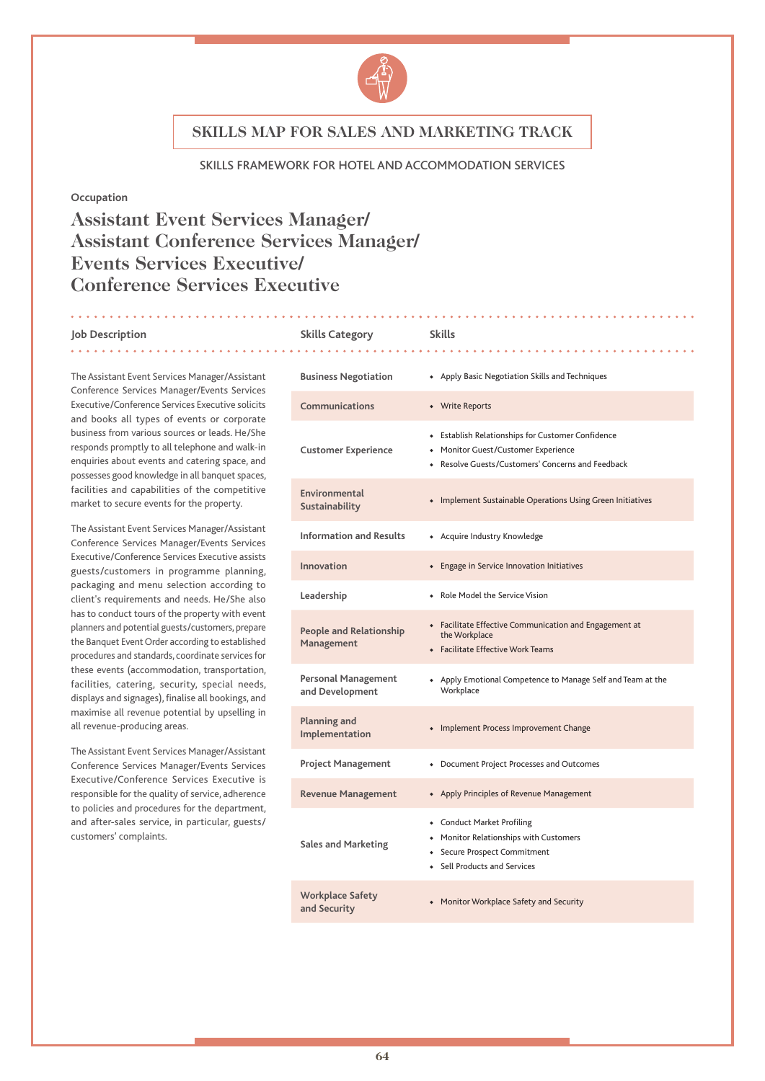

#### SKILLS FRAMEWORK FOR HOTEL AND ACCOMMODATION SERVICES

#### **Occupation**

# **Assistant Event Services Manager/ Assistant Conference Services Manager/ Events Services Executive/ Conference Services Executive**

#### **Job Description Skills Category Skills** . . . . . . . .

The Assistant Event Services Manager/Assistant Conference Services Manager/Events Services Executive/Conference Services Executive solicits and books all types of events or corporate business from various sources or leads. He/She responds promptly to all telephone and walk-in enquiries about events and catering space, and possesses good knowledge in all banquet spaces, facilities and capabilities of the competitive market to secure events for the property.

The Assistant Event Services Manager/Assistant Conference Services Manager/Events Services Executive/Conference Services Executive assists guests/customers in programme planning, packaging and menu selection according to client's requirements and needs. He/She also has to conduct tours of the property with event planners and potential guests/customers, prepare the Banquet Event Order according to established procedures and standards, coordinate services for these events (accommodation, transportation, facilities, catering, security, special needs, displays and signages), finalise all bookings, and maximise all revenue potential by upselling in all revenue-producing areas.

The Assistant Event Services Manager/Assistant Conference Services Manager/Events Services Executive/Conference Services Executive is responsible for the quality of service, adherence to policies and procedures for the department, and after-sales service, in particular, guests/ customers' complaints.

### **Business Negotiation** ◆ Apply Basic Negotiation Skills and Techniques **Communications** ◆ Write Reports **Customer Experience** ◆ Establish Relationships for Customer Confidence ◆ Monitor Guest/Customer Experience ◆ Resolve Guests/Customers' Concerns and Feedback **Environmental Sustainability •** Implement Sustainable Operations Using Green Initiatives<br>Sustainability **Information and Results** ◆ Acquire Industry Knowledge **Innovation** ◆ Engage in Service Innovation Initiatives **Leadership** ◆ Role Model the Service Vision **People and Relationship Management** ◆ Facilitate Effective Communication and Engagement at the Workplace ◆ Facilitate Effective Work Teams **Personal Management and Development** Apply Emotional Competence to Manage Self and Team at the **Workplace Planning and Implementation •** Implement Process Improvement Change Implementation **Project Management** ◆ Document Project Processes and Outcomes **Revenue Management** ◆ Apply Principles of Revenue Management **Sales and Marketing** ◆ Conduct Market Profiling ◆ Monitor Relationships with Customers ◆ Secure Prospect Commitment ◆ Sell Products and Services

. . . . . . . . . . . . . .

**and Security** ◆ Monitor Workplace Safety and Security

**Workplace Safety**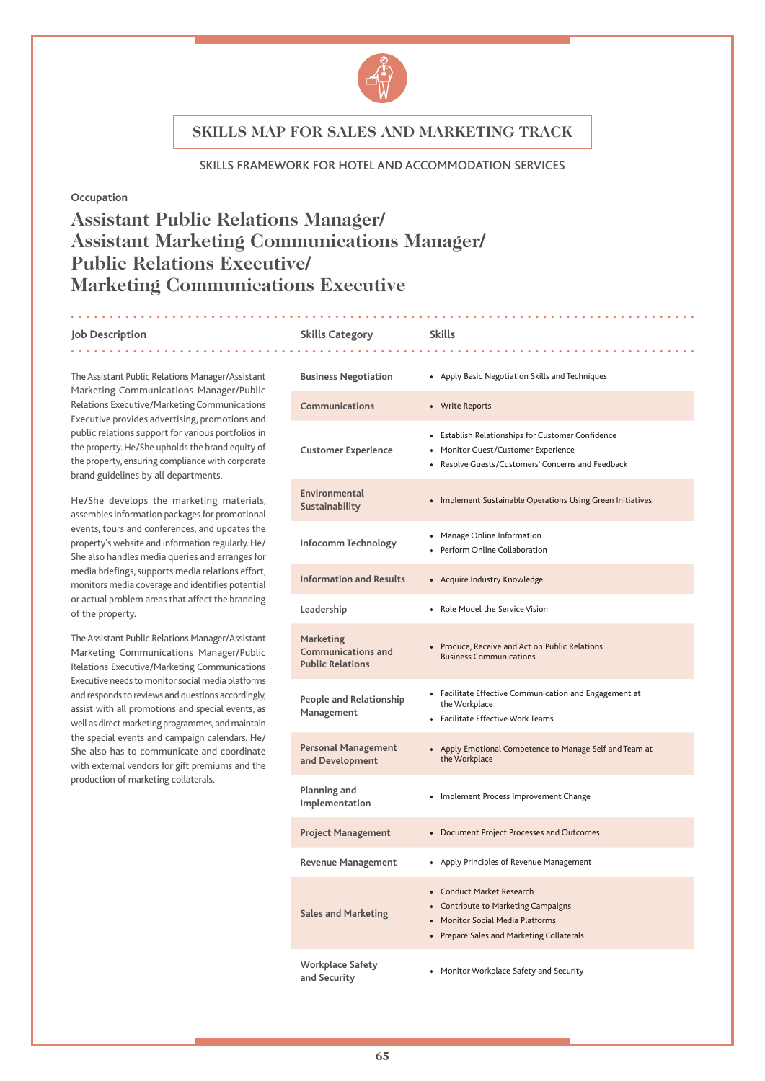

#### SKILLS FRAMEWORK FOR HOTEL AND ACCOMMODATION SERVICES

#### **Occupation**

# **Assistant Public Relations Manager/ Assistant Marketing Communications Manager/ Public Relations Executive/ Marketing Communications Executive**

#### **Job Description Skills Category Skills**

# 

The Assistant Public Relations Manager/Assistant Marketing Communications Manager/Public Relations Executive/Marketing Communications Executive provides advertising, promotions and public relations support for various portfolios in the property. He/She upholds the brand equity of the property, ensuring compliance with corporate brand guidelines by all departments.

He/She develops the marketing materials, assembles information packages for promotional events, tours and conferences, and updates the property's website and information regularly. He/ She also handles media queries and arranges for media briefings, supports media relations effort, monitors media coverage and identifies potential or actual problem areas that affect the branding of the property.

The Assistant Public Relations Manager/Assistant Marketing Communications Manager/Public Relations Executive/Marketing Communications Executive needs to monitor social media platforms and responds to reviews and questions accordingly, assist with all promotions and special events, as well as direct marketing programmes, and maintain the special events and campaign calendars. He/ She also has to communicate and coordinate with external vendors for gift premiums and the production of marketing collaterals.

| <b>Business Negotiation</b>                                       | • Apply Basic Negotiation Skills and Techniques                                                                                                   |
|-------------------------------------------------------------------|---------------------------------------------------------------------------------------------------------------------------------------------------|
| Communications                                                    | • Write Reports                                                                                                                                   |
| <b>Customer Experience</b>                                        | • Establish Relationships for Customer Confidence<br>• Monitor Guest/Customer Experience<br>• Resolve Guests/Customers' Concerns and Feedback     |
| Environmental<br>Sustainability                                   | • Implement Sustainable Operations Using Green Initiatives                                                                                        |
| Infocomm Technology                                               | • Manage Online Information<br>• Perform Online Collaboration                                                                                     |
| <b>Information and Results</b>                                    | • Acquire Industry Knowledge                                                                                                                      |
| Leadership                                                        | Role Model the Service Vision                                                                                                                     |
| Marketing<br><b>Communications and</b><br><b>Public Relations</b> | • Produce, Receive and Act on Public Relations<br><b>Business Communications</b>                                                                  |
| People and Relationship<br>Management                             | • Facilitate Effective Communication and Engagement at<br>the Workplace<br>• Facilitate Effective Work Teams                                      |
| <b>Personal Management</b><br>and Development                     | • Apply Emotional Competence to Manage Self and Team at<br>the Workplace                                                                          |
| Planning and<br>Implementation                                    | • Implement Process Improvement Change                                                                                                            |
| <b>Project Management</b>                                         | • Document Project Processes and Outcomes                                                                                                         |
| <b>Revenue Management</b>                                         | • Apply Principles of Revenue Management                                                                                                          |
| <b>Sales and Marketing</b>                                        | • Conduct Market Research<br>• Contribute to Marketing Campaigns<br>• Monitor Social Media Platforms<br>• Prepare Sales and Marketing Collaterals |
| <b>Workplace Safety</b><br>and Security                           | • Monitor Workplace Safety and Security                                                                                                           |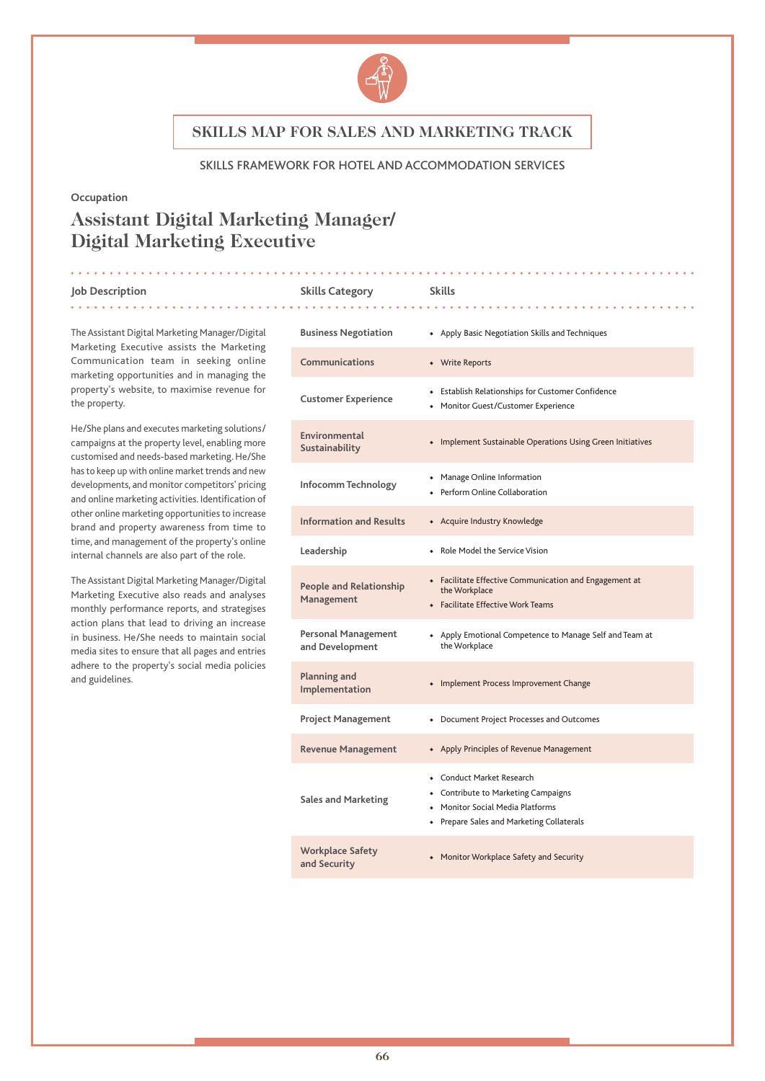

#### SKILLS FRAMEWORK FOR HOTEL AND ACCOMMODATION SERVICES

**Skills Category Skills** 

#### **Occupation**

# **Assistant Digital Marketing Manager/ Digital Marketing Executive**

|  | Job Description |  |
|--|-----------------|--|
|--|-----------------|--|

. . . . . . . . . .

the property.

The Assistant Digital Marketing Manager/Digital Marketing Executive assists the Marketing Communication team in seeking online marketing opportunities and in managing the property's website, to maximise revenue for

He/She plans and executes marketing solutions/ campaigns at the property level, enabling more customised and needs-based marketing. He/She has to keep up with online market trends and new developments, and monitor competitors' pricing and online marketing activities. Identification of other online marketing opportunities to increase brand and property awareness from time to time, and management of the property's online internal channels are also part of the role.

The Assistant Digital Marketing Manager/Digital Marketing Executive also reads and analyses monthly performance reports, and strategises action plans that lead to driving an increase in business. He/She needs to maintain social media sites to ensure that all pages and entries adhere to the property's social media policies and guidelines.

| <b>Business Negotiation</b>                  | • Apply Basic Negotiation Skills and Techniques                                                                                               |
|----------------------------------------------|-----------------------------------------------------------------------------------------------------------------------------------------------|
| Communications                               | • Write Reports                                                                                                                               |
| <b>Customer Experience</b>                   | • Establish Relationships for Customer Confidence<br>Monitor Guest/Customer Experience                                                        |
| Environmental<br>Sustainability              | • Implement Sustainable Operations Using Green Initiatives                                                                                    |
| Infocomm Technology                          | Manage Online Information<br>Perform Online Collaboration                                                                                     |
| <b>Information and Results</b>               | • Acquire Industry Knowledge                                                                                                                  |
| Leadership                                   | Role Model the Service Vision                                                                                                                 |
| <b>People and Relationship</b><br>Management | • Facilitate Effective Communication and Engagement at<br>the Workplace<br>• Facilitate Effective Work Teams                                  |
| Personal Management<br>and Development       | • Apply Emotional Competence to Manage Self and Team at<br>the Workplace                                                                      |
| <b>Planning and</b><br>Implementation        | • Implement Process Improvement Change                                                                                                        |
| <b>Project Management</b>                    | • Document Project Processes and Outcomes                                                                                                     |
| <b>Revenue Management</b>                    | • Apply Principles of Revenue Management                                                                                                      |
| <b>Sales and Marketing</b>                   | • Conduct Market Research<br>• Contribute to Marketing Campaigns<br>Monitor Social Media Platforms<br>Prepare Sales and Marketing Collaterals |
| <b>Workplace Safety</b><br>and Security      | • Monitor Workplace Safety and Security                                                                                                       |

. . . . . . . . . . . . . . .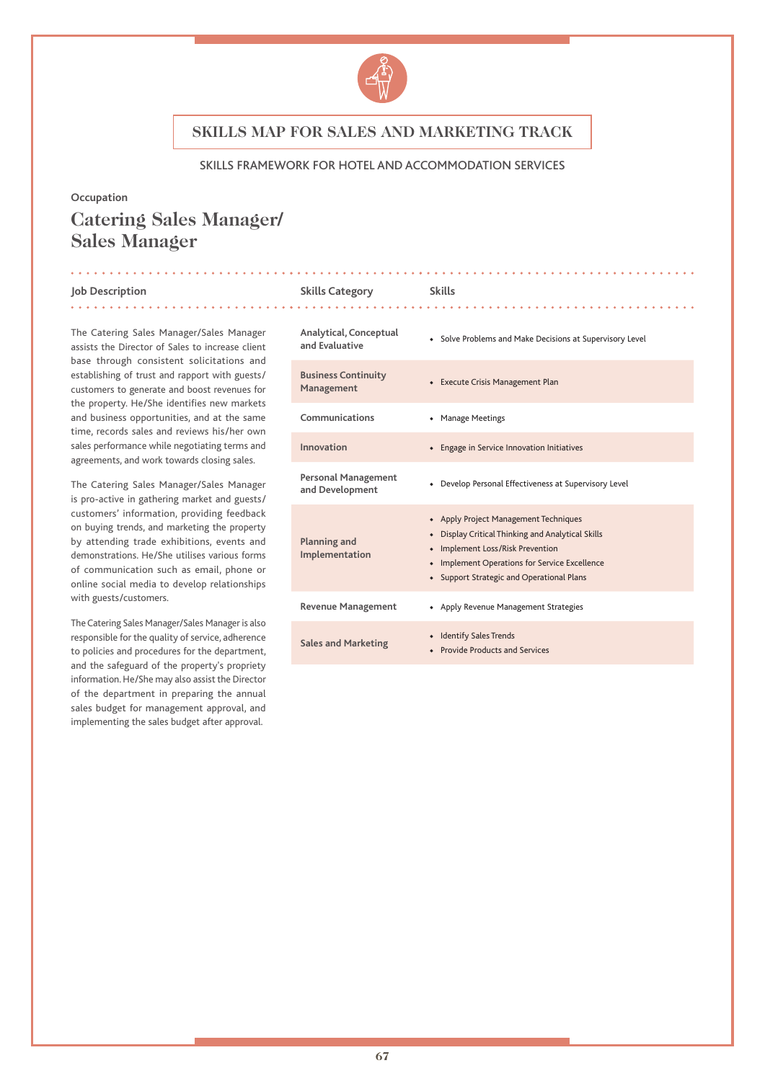

#### SKILLS FRAMEWORK FOR HOTEL AND ACCOMMODATION SERVICES

#### **Occupation**

# **Catering Sales Manager/ Sales Manager**

#### **Job Description Skills Category Skills**

The Catering Sales Manager/Sales Manager assists the Director of Sales to increase client base through consistent solicitations and establishing of trust and rapport with guests/ customers to generate and boost revenues for the property. He/She identifies new markets and business opportunities, and at the same time, records sales and reviews his/her own sales performance while negotiating terms and agreements, and work towards closing sales.

The Catering Sales Manager/Sales Manager is pro-active in gathering market and guests/ customers' information, providing feedback on buying trends, and marketing the property by attending trade exhibitions, events and demonstrations. He/She utilises various forms of communication such as email, phone or online social media to develop relationships with guests/customers.

The Catering Sales Manager/Sales Manager is also responsible for the quality of service, adherence to policies and procedures for the department, and the safeguard of the property's propriety information. He/She may also assist the Director of the department in preparing the annual sales budget for management approval, and implementing the sales budget after approval.

| Analytical, Conceptual<br>and Evaluative      | • Solve Problems and Make Decisions at Supervisory Level                                                                                                                                                                           |
|-----------------------------------------------|------------------------------------------------------------------------------------------------------------------------------------------------------------------------------------------------------------------------------------|
| <b>Business Continuity</b><br>Management      | • Execute Crisis Management Plan                                                                                                                                                                                                   |
| Communications                                | <b>Manage Meetings</b>                                                                                                                                                                                                             |
| Innovation                                    | Engage in Service Innovation Initiatives                                                                                                                                                                                           |
| <b>Personal Management</b><br>and Development | Develop Personal Effectiveness at Supervisory Level                                                                                                                                                                                |
| Planning and<br>Implementation                | • Apply Project Management Techniques<br>Display Critical Thinking and Analytical Skills<br>Implement Loss/Risk Prevention<br><b>Implement Operations for Service Excellence</b><br><b>Support Strategic and Operational Plans</b> |
| <b>Revenue Management</b>                     | • Apply Revenue Management Strategies                                                                                                                                                                                              |
| <b>Sales and Marketing</b>                    | <b>Identify Sales Trends</b><br><b>Provide Products and Services</b>                                                                                                                                                               |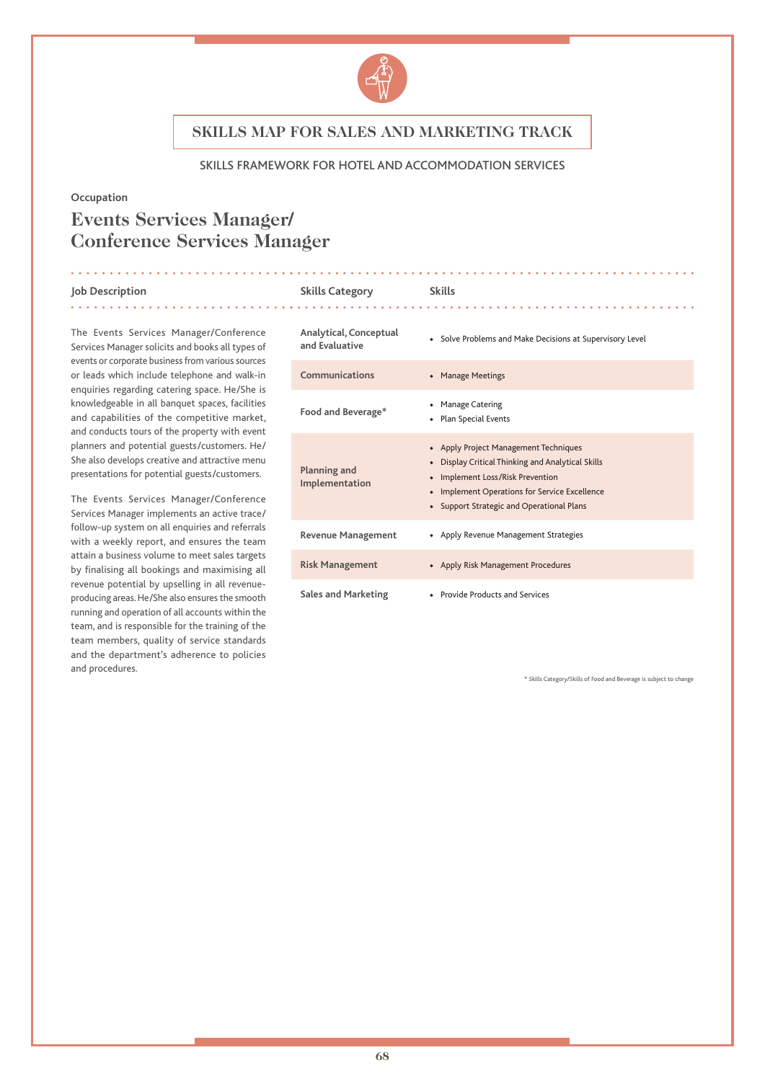

#### SKILLS FRAMEWORK FOR HOTEL AND ACCOMMODATION SERVICES

#### **Occupation**

# **Events Services Manager/ Conference Services Manager**

#### **Job Description Skills Category Skills**

The Events Services Manager/Conference Services Manager solicits and books all types of events or corporate business from various sources or leads which include telephone and walk-in enquiries regarding catering space. He/She is knowledgeable in all banquet spaces, facilities and capabilities of the competitive market, and conducts tours of the property with event planners and potential guests/customers. He/ She also develops creative and attractive menu presentations for potential guests/customers.

The Events Services Manager/Conference Services Manager implements an active trace/ follow-up system on all enquiries and referrals with a weekly report, and ensures the team attain a business volume to meet sales targets by finalising all bookings and maximising all revenue potential by upselling in all revenueproducing areas. He/She also ensures the smooth running and operation of all accounts within the team, and is responsible for the training of the team members, quality of service standards and the department's adherence to policies and procedures.

| Analytical, Conceptual<br>and Evaluative | • Solve Problems and Make Decisions at Supervisory Level                                                                                                                                                                     |
|------------------------------------------|------------------------------------------------------------------------------------------------------------------------------------------------------------------------------------------------------------------------------|
| Communications                           | • Manage Meetings                                                                                                                                                                                                            |
| Food and Beverage*                       | • Manage Catering<br>• Plan Special Events                                                                                                                                                                                   |
| Planning and<br>Implementation           | • Apply Project Management Techniques<br>• Display Critical Thinking and Analytical Skills<br>• Implement Loss/Risk Prevention<br>• Implement Operations for Service Excellence<br>• Support Strategic and Operational Plans |
| <b>Revenue Management</b>                | • Apply Revenue Management Strategies                                                                                                                                                                                        |
| <b>Risk Management</b>                   | • Apply Risk Management Procedures                                                                                                                                                                                           |
| <b>Sales and Marketing</b>               | • Provide Products and Services                                                                                                                                                                                              |

. . . . . . . . . . . . . . . . . . .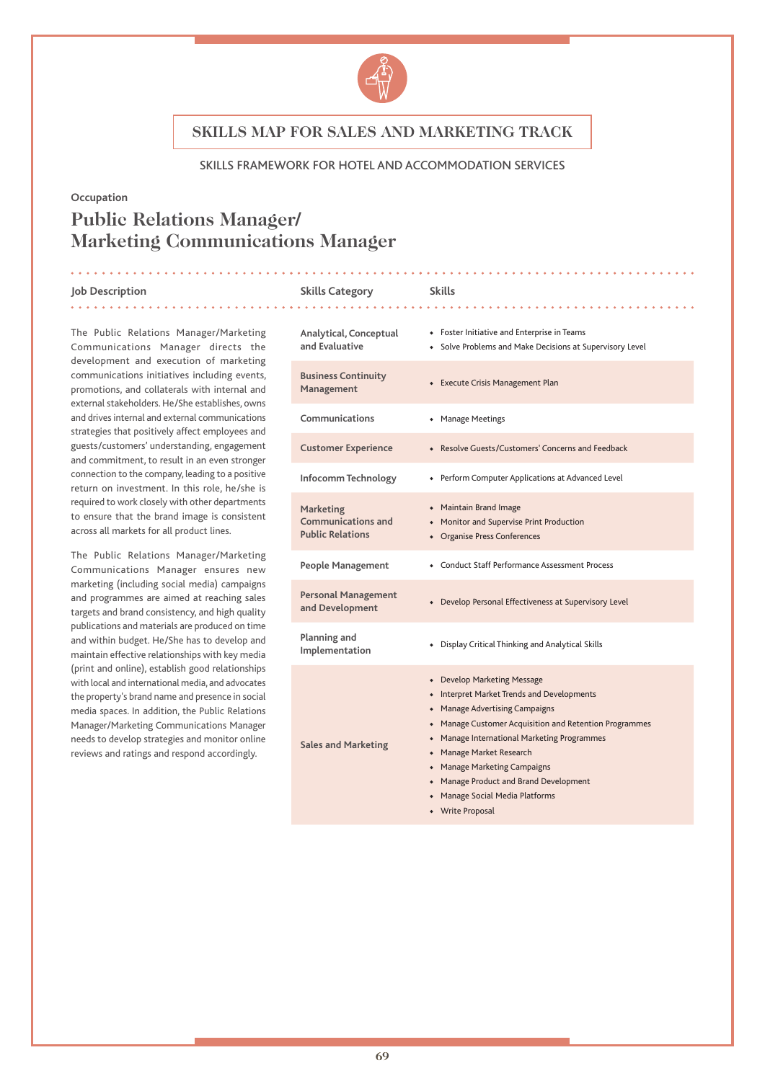

#### SKILLS FRAMEWORK FOR HOTEL AND ACCOMMODATION SERVICES

#### **Occupation**

# **Public Relations Manager/ Marketing Communications Manager**

#### **Job Description Skills Category Skills**

. . . . . . . . . . . . . . .

The Public Relations Manager/Marketing Communications Manager directs the development and execution of marketing communications initiatives including events, promotions, and collaterals with internal and external stakeholders. He/She establishes, owns and drives internal and external communications strategies that positively affect employees and guests/customers' understanding, engagement and commitment, to result in an even stronger connection to the company, leading to a positive return on investment. In this role, he/she is required to work closely with other departments to ensure that the brand image is consistent across all markets for all product lines.

The Public Relations Manager/Marketing Communications Manager ensures new marketing (including social media) campaigns and programmes are aimed at reaching sales targets and brand consistency, and high quality publications and materials are produced on time and within budget. He/She has to develop and maintain effective relationships with key media (print and online), establish good relationships with local and international media, and advocates the property's brand name and presence in social media spaces. In addition, the Public Relations Manager/Marketing Communications Manager needs to develop strategies and monitor online reviews and ratings and respond accordingly.

| Analytical, Conceptual<br>and Evaluative                                 | • Foster Initiative and Enterprise in Teams<br>Solve Problems and Make Decisions at Supervisory Level                                                                                                                                                                                                                                                                             |
|--------------------------------------------------------------------------|-----------------------------------------------------------------------------------------------------------------------------------------------------------------------------------------------------------------------------------------------------------------------------------------------------------------------------------------------------------------------------------|
| <b>Business Continuity</b><br>Management                                 | • Execute Crisis Management Plan                                                                                                                                                                                                                                                                                                                                                  |
| Communications                                                           | <b>Manage Meetings</b>                                                                                                                                                                                                                                                                                                                                                            |
| <b>Customer Experience</b>                                               | • Resolve Guests/Customers' Concerns and Feedback                                                                                                                                                                                                                                                                                                                                 |
| Infocomm Technology                                                      | + Perform Computer Applications at Advanced Level                                                                                                                                                                                                                                                                                                                                 |
| <b>Marketing</b><br><b>Communications and</b><br><b>Public Relations</b> | • Maintain Brand Image<br>• Monitor and Supervise Print Production<br>• Organise Press Conferences                                                                                                                                                                                                                                                                                |
| <b>People Management</b>                                                 | • Conduct Staff Performance Assessment Process                                                                                                                                                                                                                                                                                                                                    |
| <b>Personal Management</b><br>and Development                            | • Develop Personal Effectiveness at Supervisory Level                                                                                                                                                                                                                                                                                                                             |
| Planning and<br>Implementation                                           | Display Critical Thinking and Analytical Skills                                                                                                                                                                                                                                                                                                                                   |
| <b>Sales and Marketing</b>                                               | • Develop Marketing Message<br>• Interpret Market Trends and Developments<br>• Manage Advertising Campaigns<br>• Manage Customer Acquisition and Retention Programmes<br>• Manage International Marketing Programmes<br>• Manage Market Research<br>• Manage Marketing Campaigns<br>• Manage Product and Brand Development<br>• Manage Social Media Platforms<br>• Write Proposal |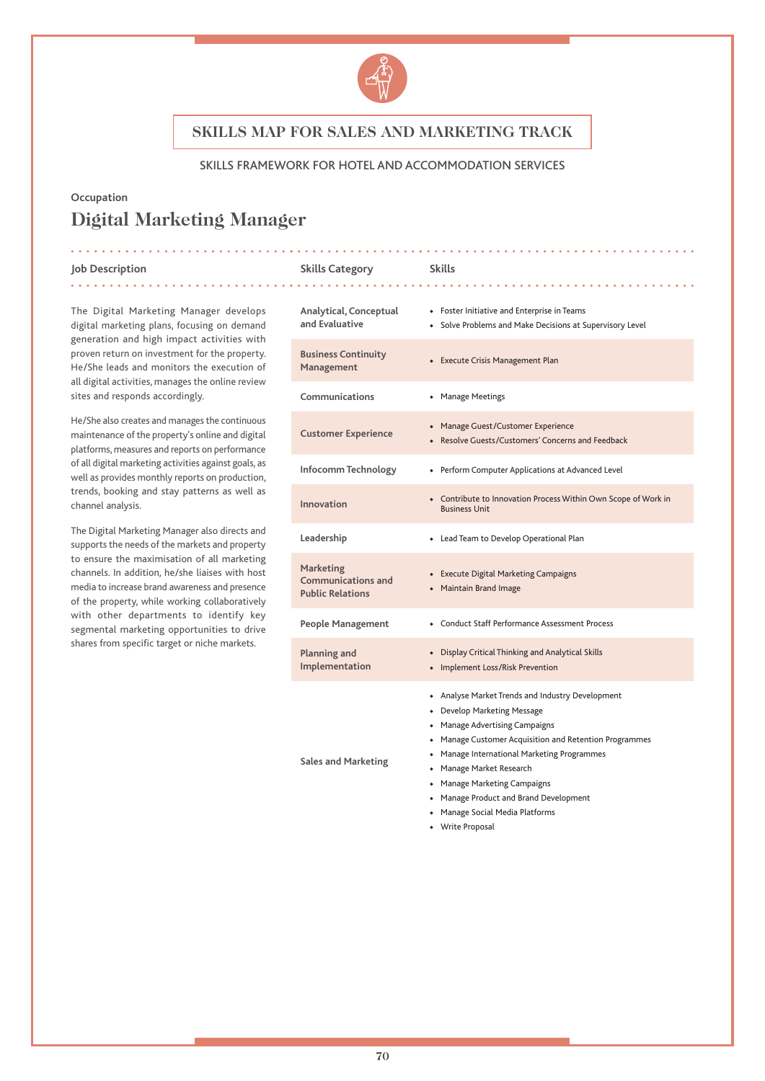

#### SKILLS FRAMEWORK FOR HOTEL AND ACCOMMODATION SERVICES

## **Occupation Digital Marketing Manager**

#### **Job Description Skills Category Skills** . . . . . . . . . . . .

The Digital Marketing Manager develops digital marketing plans, focusing on demand generation and high impact activities with proven return on investment for the property. He/She leads and monitors the execution of all digital activities, manages the online review sites and responds accordingly.

He/She also creates and manages the continuous maintenance of the property's online and digital platforms, measures and reports on performance of all digital marketing activities against goals, as well as provides monthly reports on production, trends, booking and stay patterns as well as channel analysis.

The Digital Marketing Manager also directs and supports the needs of the markets and property to ensure the maximisation of all marketing channels. In addition, he/she liaises with host media to increase brand awareness and presence of the property, while working collaboratively with other departments to identify key segmental marketing opportunities to drive shares from specific target or niche markets.

### **Analytical, Conceptual and Evaluative** ◆ Foster Initiative and Enterprise in Teams ◆ Solve Problems and Make Decisions at Supervisory Level **Business Continuity Management •** Execute Crisis Management Plan<br>Management **Communications** ◆ Manage Meetings **Customer Experience** ◆ Manage Guest/Customer Experience ◆ Resolve Guests/Customers' Concerns and Feedback **Infocomm Technology** ◆ Perform Computer Applications at Advanced Level **Innovation** ◆ Contribute to Innovation Process Within Own Scope of Work in Business Unit **Leadership** ◆ Lead Team to Develop Operational Plan **Marketing Communications and Public Relations** ◆ Execute Digital Marketing Campaigns ◆ Maintain Brand Image **People Management** ◆ Conduct Staff Performance Assessment Process **Planning and Implementation** ◆ Display Critical Thinking and Analytical Skills ◆ Implement Loss/Risk Prevention **Sales and Marketing** ◆ Analyse Market Trends and Industry Development ◆ Develop Marketing Message ◆ Manage Advertising Campaigns ◆ Manage Customer Acquisition and Retention Programmes ◆ Manage International Marketing Programmes ◆ Manage Market Research ◆ Manage Marketing Campaigns ◆ Manage Product and Brand Development ◆ Manage Social Media Platforms

◆ Write Proposal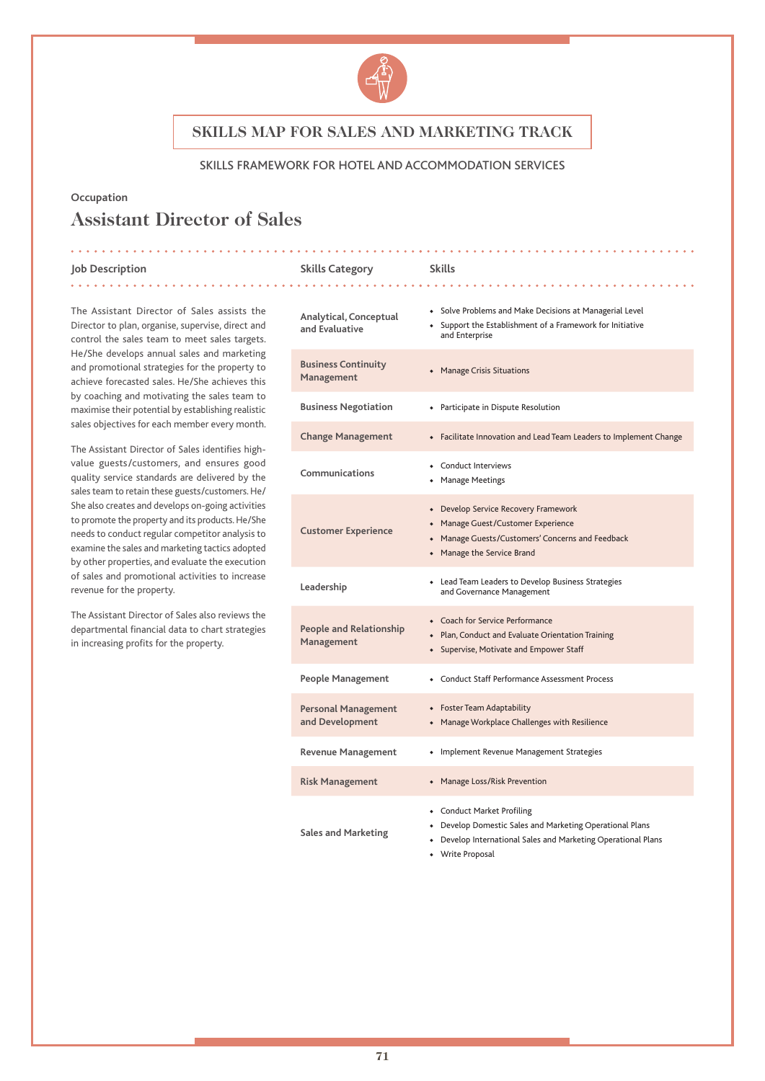

#### SKILLS FRAMEWORK FOR HOTEL AND ACCOMMODATION SERVICES

#### **Occupation**

# **Assistant Director of Sales**

**Job Description Skills Category Skills**

The Assistant Director of Sales assists the Director to plan, organise, supervise, direct and control the sales team to meet sales targets. He/She develops annual sales and marketing and promotional strategies for the property to achieve forecasted sales. He/She achieves this by coaching and motivating the sales team to maximise their potential by establishing realistic sales objectives for each member every month.

The Assistant Director of Sales identifies highvalue guests/customers, and ensures good quality service standards are delivered by the sales team to retain these guests/customers. He/ She also creates and develops on-going activities to promote the property and its products. He/She needs to conduct regular competitor analysis to examine the sales and marketing tactics adopted by other properties, and evaluate the execution of sales and promotional activities to increase revenue for the property.

The Assistant Director of Sales also reviews the departmental financial data to chart strategies in increasing profits for the property.

| Analytical, Conceptual<br>and Evaluative      | • Solve Problems and Make Decisions at Managerial Level<br>• Support the Establishment of a Framework for Initiative<br>and Enterprise                                    |
|-----------------------------------------------|---------------------------------------------------------------------------------------------------------------------------------------------------------------------------|
| <b>Business Continuity</b><br>Management      | <b>Manage Crisis Situations</b><br>۰                                                                                                                                      |
| <b>Business Negotiation</b>                   | • Participate in Dispute Resolution                                                                                                                                       |
| <b>Change Management</b>                      | • Facilitate Innovation and Lead Team Leaders to Implement Change                                                                                                         |
| Communications                                | • Conduct Interviews<br>• Manage Meetings                                                                                                                                 |
| <b>Customer Experience</b>                    | • Develop Service Recovery Framework<br>• Manage Guest/Customer Experience<br>• Manage Guests/Customers' Concerns and Feedback<br>• Manage the Service Brand              |
| Leadership                                    | • Lead Team Leaders to Develop Business Strategies<br>and Governance Management                                                                                           |
| <b>People and Relationship</b><br>Management  | • Coach for Service Performance<br>• Plan, Conduct and Evaluate Orientation Training<br>• Supervise, Motivate and Empower Staff                                           |
| <b>People Management</b>                      | • Conduct Staff Performance Assessment Process                                                                                                                            |
| <b>Personal Management</b><br>and Development | • Foster Team Adaptability<br>• Manage Workplace Challenges with Resilience                                                                                               |
| <b>Revenue Management</b>                     | • Implement Revenue Management Strategies                                                                                                                                 |
| <b>Risk Management</b>                        | • Manage Loss/Risk Prevention                                                                                                                                             |
| <b>Sales and Marketing</b>                    | • Conduct Market Profiling<br>• Develop Domestic Sales and Marketing Operational Plans<br>Develop International Sales and Marketing Operational Plans<br>• Write Proposal |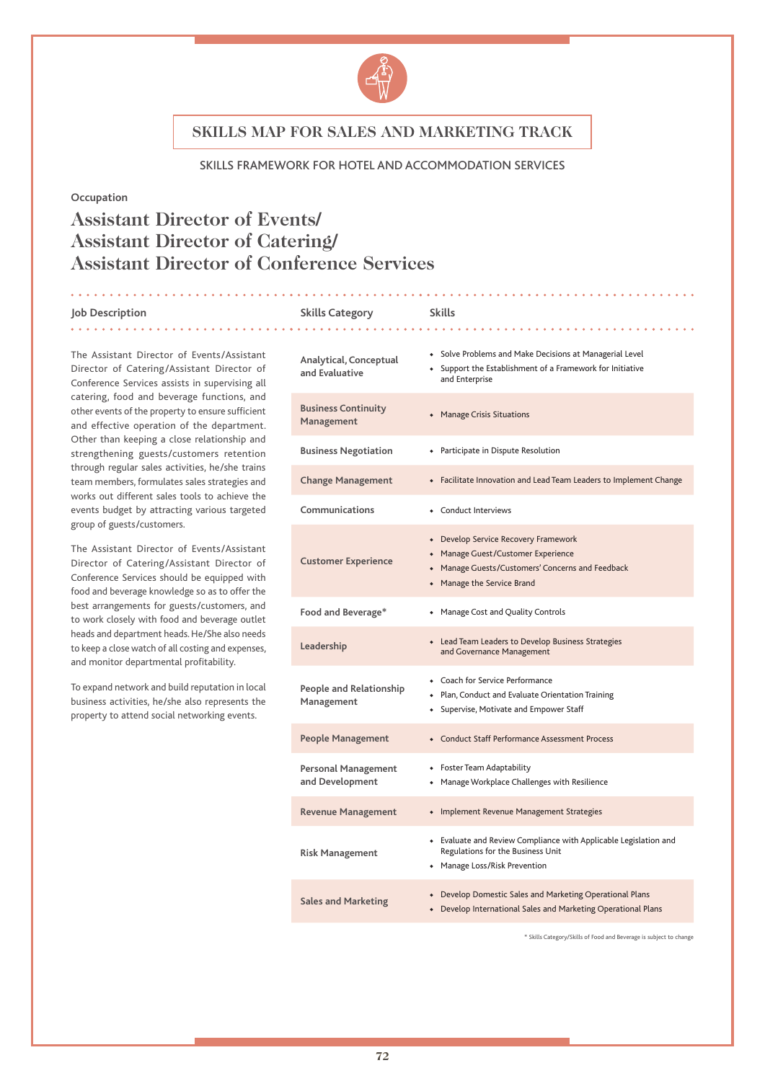

#### SKILLS FRAMEWORK FOR HOTEL AND ACCOMMODATION SERVICES

#### **Occupation**

# **Assistant Director of Events/ Assistant Director of Catering/ Assistant Director of Conference Services**

#### **Job Description Skills Category Skills**

| The Assistant Director of Events/Assistant<br>Director of Catering/Assistant Director of<br>Conference Services assists in supervising all                                                                              | Analytical, Conceptual<br>and Evaluative      | • Solve Problems and Make Decisions at Managerial Level<br>Support the Establishment of a Framework for Initiative<br>and Enterprise                        |
|-------------------------------------------------------------------------------------------------------------------------------------------------------------------------------------------------------------------------|-----------------------------------------------|-------------------------------------------------------------------------------------------------------------------------------------------------------------|
| catering, food and beverage functions, and<br>other events of the property to ensure sufficient<br>and effective operation of the department.                                                                           | <b>Business Continuity</b><br>Management      | • Manage Crisis Situations                                                                                                                                  |
| Other than keeping a close relationship and<br>strengthening guests/customers retention                                                                                                                                 | <b>Business Negotiation</b>                   | • Participate in Dispute Resolution                                                                                                                         |
| through regular sales activities, he/she trains<br>team members, formulates sales strategies and                                                                                                                        | <b>Change Management</b>                      | • Facilitate Innovation and Lead Team Leaders to Implement Change                                                                                           |
| works out different sales tools to achieve the<br>events budget by attracting various targeted                                                                                                                          | Communications                                | • Conduct Interviews                                                                                                                                        |
| group of guests/customers.<br>The Assistant Director of Events/Assistant<br>Director of Catering/Assistant Director of<br>Conference Services should be equipped with<br>food and beverage knowledge so as to offer the | <b>Customer Experience</b>                    | • Develop Service Recovery Framework<br>Manage Guest/Customer Experience<br>Manage Guests/Customers' Concerns and Feedback<br>Manage the Service Brand<br>٠ |
| best arrangements for guests/customers, and<br>to work closely with food and beverage outlet                                                                                                                            | Food and Beverage*                            | • Manage Cost and Quality Controls                                                                                                                          |
| heads and department heads. He/She also needs<br>to keep a close watch of all costing and expenses,<br>and monitor departmental profitability.                                                                          | Leadership                                    | • Lead Team Leaders to Develop Business Strategies<br>and Governance Management                                                                             |
| To expand network and build reputation in local<br>business activities, he/she also represents the<br>property to attend social networking events.                                                                      | <b>People and Relationship</b><br>Management  | • Coach for Service Performance<br>Plan, Conduct and Evaluate Orientation Training<br>• Supervise, Motivate and Empower Staff                               |
|                                                                                                                                                                                                                         | <b>People Management</b>                      | • Conduct Staff Performance Assessment Process                                                                                                              |
|                                                                                                                                                                                                                         | <b>Personal Management</b><br>and Development | Foster Team Adaptability<br>$\bullet$<br>Manage Workplace Challenges with Resilience<br>$\bullet$                                                           |
|                                                                                                                                                                                                                         | <b>Revenue Management</b>                     | • Implement Revenue Management Strategies                                                                                                                   |
|                                                                                                                                                                                                                         | <b>Risk Management</b>                        | • Evaluate and Review Compliance with Applicable Legislation and<br>Regulations for the Business Unit<br>• Manage Loss/Risk Prevention                      |
|                                                                                                                                                                                                                         | <b>Sales and Marketing</b>                    | • Develop Domestic Sales and Marketing Operational Plans<br>• Develop International Sales and Marketing Operational Plans                                   |

. . . . . . . . . . . . . .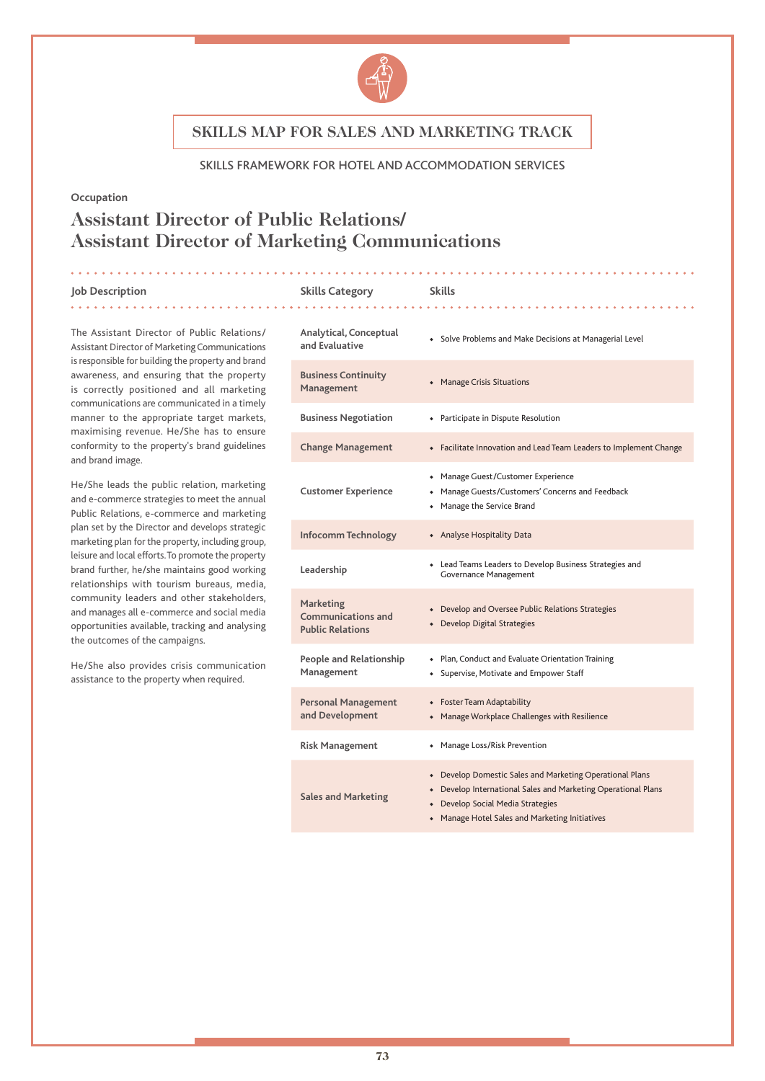

#### SKILLS FRAMEWORK FOR HOTEL AND ACCOMMODATION SERVICES

#### **Occupation**

# **Assistant Director of Public Relations/ Assistant Director of Marketing Communications**

#### **Job Description Skills Category Skills**

. . . . . . . . . . . . . . . . .

The Assistant Director of Public Relations/ Assistant Director of Marketing Communications is responsible for building the property and brand awareness, and ensuring that the property is correctly positioned and all marketing communications are communicated in a timely manner to the appropriate target markets, maximising revenue. He/She has to ensure conformity to the property's brand guidelines and brand image.

He/She leads the public relation, marketing and e-commerce strategies to meet the annual Public Relations, e-commerce and marketing plan set by the Director and develops strategic marketing plan for the property, including group, leisure and local efforts. To promote the property brand further, he/she maintains good working relationships with tourism bureaus, media, community leaders and other stakeholders, and manages all e-commerce and social media opportunities available, tracking and analysing the outcomes of the campaigns.

He/She also provides crisis communication assistance to the property when required.

| Analytical, Conceptual<br>and Evaluative                          | • Solve Problems and Make Decisions at Managerial Level                                                                                                                                                          |
|-------------------------------------------------------------------|------------------------------------------------------------------------------------------------------------------------------------------------------------------------------------------------------------------|
| <b>Business Continuity</b><br>Management                          | <b>Manage Crisis Situations</b><br>۰                                                                                                                                                                             |
| <b>Business Negotiation</b>                                       | • Participate in Dispute Resolution                                                                                                                                                                              |
| <b>Change Management</b>                                          | • Facilitate Innovation and Lead Team Leaders to Implement Change                                                                                                                                                |
| <b>Customer Experience</b>                                        | • Manage Guest/Customer Experience<br>• Manage Guests/Customers' Concerns and Feedback<br>• Manage the Service Brand                                                                                             |
| Infocomm Technology                                               | • Analyse Hospitality Data                                                                                                                                                                                       |
| Leadership                                                        | • Lead Teams Leaders to Develop Business Strategies and<br><b>Governance Management</b>                                                                                                                          |
| Marketing<br><b>Communications and</b><br><b>Public Relations</b> | • Develop and Oversee Public Relations Strategies<br>• Develop Digital Strategies                                                                                                                                |
| <b>People and Relationship</b><br>Management                      | • Plan, Conduct and Evaluate Orientation Training<br>• Supervise, Motivate and Empower Staff                                                                                                                     |
| <b>Personal Management</b><br>and Development                     | • Foster Team Adaptability<br>• Manage Workplace Challenges with Resilience                                                                                                                                      |
| <b>Risk Management</b>                                            | • Manage Loss/Risk Prevention                                                                                                                                                                                    |
| <b>Sales and Marketing</b>                                        | • Develop Domestic Sales and Marketing Operational Plans<br>• Develop International Sales and Marketing Operational Plans<br>• Develop Social Media Strategies<br>• Manage Hotel Sales and Marketing Initiatives |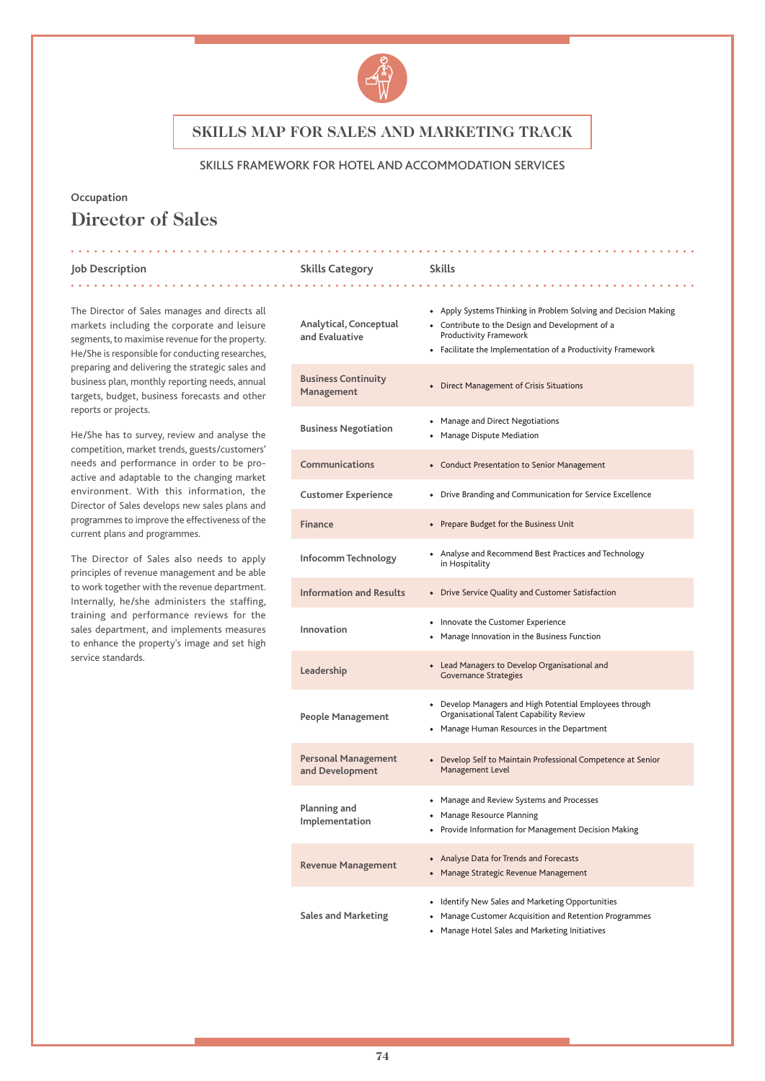

#### SKILLS FRAMEWORK FOR HOTEL AND ACCOMMODATION SERVICES

### **Occupation Director of Sales**

#### **Job Description Skills Category Skills**

. . . . . . . . . . . . .

The Director of Sales manages and directs all markets including the corporate and leisure segments, to maximise revenue for the property. He/She is responsible for conducting researches, preparing and delivering the strategic sales and business plan, monthly reporting needs, annual targets, budget, business forecasts and other reports or projects.

. . . . . . . . . . . . . . . **.** .

He/She has to survey, review and analyse the competition, market trends, guests/customers' needs and performance in order to be proactive and adaptable to the changing market environment. With this information, the Director of Sales develops new sales plans and programmes to improve the effectiveness of the current plans and programmes.

The Director of Sales also needs to apply principles of revenue management and be able to work together with the revenue department. Internally, he/she administers the staffing, training and performance reviews for the sales department, and implements measures to enhance the property's image and set high service standards.

| Analytical, Conceptual<br>and Evaluative      | • Apply Systems Thinking in Problem Solving and Decision Making<br>• Contribute to the Design and Development of a<br>Productivity Framework<br>• Facilitate the Implementation of a Productivity Framework |
|-----------------------------------------------|-------------------------------------------------------------------------------------------------------------------------------------------------------------------------------------------------------------|
| <b>Business Continuity</b><br>Management      | <b>Direct Management of Crisis Situations</b>                                                                                                                                                               |
| <b>Business Negotiation</b>                   | • Manage and Direct Negotiations<br>• Manage Dispute Mediation                                                                                                                                              |
| Communications                                | • Conduct Presentation to Senior Management                                                                                                                                                                 |
| <b>Customer Experience</b>                    | • Drive Branding and Communication for Service Excellence                                                                                                                                                   |
| <b>Finance</b>                                | • Prepare Budget for the Business Unit                                                                                                                                                                      |
| Infocomm Technology                           | • Analyse and Recommend Best Practices and Technology<br>in Hospitality                                                                                                                                     |
| <b>Information and Results</b>                | • Drive Service Quality and Customer Satisfaction                                                                                                                                                           |
| Innovation                                    | • Innovate the Customer Experience<br>• Manage Innovation in the Business Function                                                                                                                          |
| Leadership                                    | • Lead Managers to Develop Organisational and<br><b>Governance Strategies</b>                                                                                                                               |
| <b>People Management</b>                      | • Develop Managers and High Potential Employees through<br>Organisational Talent Capability Review<br>• Manage Human Resources in the Department                                                            |
| <b>Personal Management</b><br>and Development | • Develop Self to Maintain Professional Competence at Senior<br>Management Level                                                                                                                            |
| Planning and<br>Implementation                | • Manage and Review Systems and Processes<br>• Manage Resource Planning<br>• Provide Information for Management Decision Making                                                                             |
| <b>Revenue Management</b>                     | • Analyse Data for Trends and Forecasts<br>• Manage Strategic Revenue Management                                                                                                                            |
| <b>Sales and Marketing</b>                    | • Identify New Sales and Marketing Opportunities<br>• Manage Customer Acquisition and Retention Programmes<br>• Manage Hotel Sales and Marketing Initiatives                                                |

. . . . . . . . . . .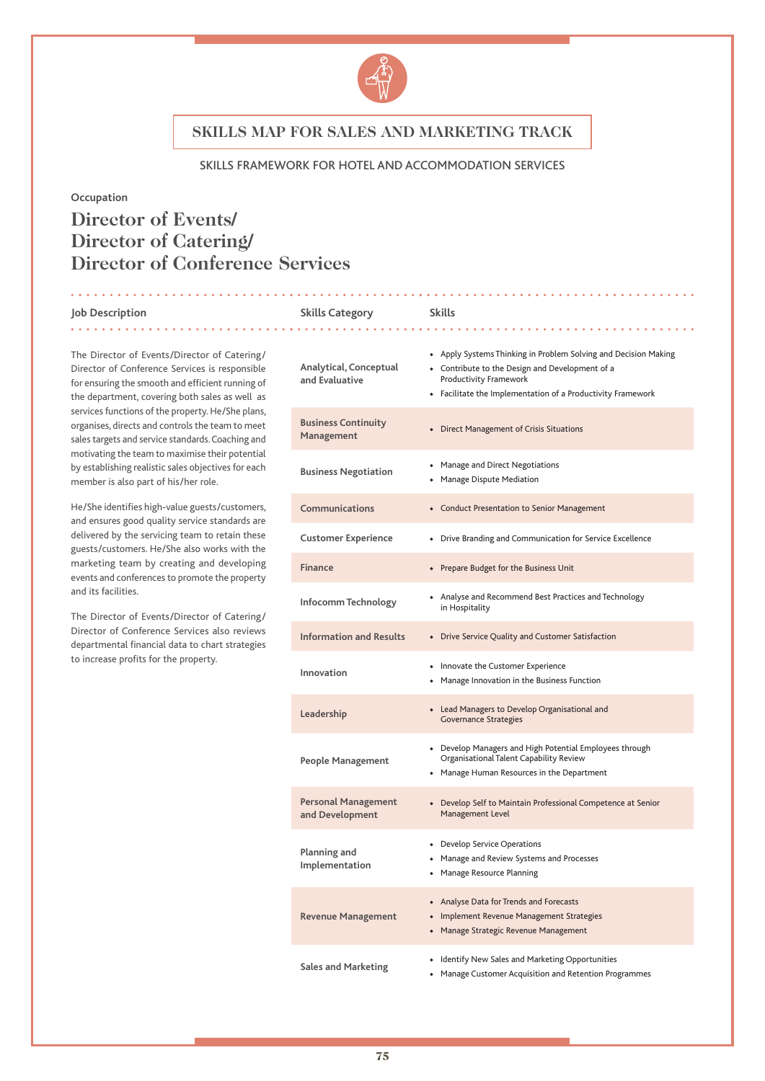

#### SKILLS FRAMEWORK FOR HOTEL AND ACCOMMODATION SERVICES

#### **Occupation**

# **Director of Events/ Director of Catering/ Director of Conference Services**

#### **Job Description Skills Category Skills**

The Director of Events/Director of Catering/ Director of Conference Services is responsible for ensuring the smooth and efficient running of the department, covering both sales as well as services functions of the property. He/She plans, organises, directs and controls the team to meet sales targets and service standards. Coaching and motivating the team to maximise their potential by establishing realistic sales objectives for each member is also part of his/her role.

He/She identifies high-value guests/customers, and ensures good quality service standards are delivered by the servicing team to retain these guests/customers. He/She also works with the marketing team by creating and developing events and conferences to promote the property and its facilities.

The Director of Events/Director of Catering/ Director of Conference Services also reviews departmental financial data to chart strategies to increase profits for the property.

#### 

| Analytical, Conceptual<br>and Evaluative      | • Apply Systems Thinking in Problem Solving and Decision Making<br>• Contribute to the Design and Development of a<br>Productivity Framework<br>• Facilitate the Implementation of a Productivity Framework |
|-----------------------------------------------|-------------------------------------------------------------------------------------------------------------------------------------------------------------------------------------------------------------|
| <b>Business Continuity</b><br>Management      | • Direct Management of Crisis Situations                                                                                                                                                                    |
| <b>Business Negotiation</b>                   | • Manage and Direct Negotiations<br>• Manage Dispute Mediation                                                                                                                                              |
| <b>Communications</b>                         | • Conduct Presentation to Senior Management                                                                                                                                                                 |
| <b>Customer Experience</b>                    | • Drive Branding and Communication for Service Excellence                                                                                                                                                   |
| <b>Finance</b>                                | • Prepare Budget for the Business Unit                                                                                                                                                                      |
| Infocomm Technology                           | • Analyse and Recommend Best Practices and Technology<br>in Hospitality                                                                                                                                     |
| <b>Information and Results</b>                | • Drive Service Quality and Customer Satisfaction                                                                                                                                                           |
| Innovation                                    | • Innovate the Customer Experience<br>• Manage Innovation in the Business Function                                                                                                                          |
| Leadership                                    | • Lead Managers to Develop Organisational and<br><b>Governance Strategies</b>                                                                                                                               |
| <b>People Management</b>                      | • Develop Managers and High Potential Employees through<br>Organisational Talent Capability Review<br>• Manage Human Resources in the Department                                                            |
| <b>Personal Management</b><br>and Development | • Develop Self to Maintain Professional Competence at Senior<br>Management Level                                                                                                                            |
| Planning and<br>Implementation                | • Develop Service Operations<br>• Manage and Review Systems and Processes<br>• Manage Resource Planning                                                                                                     |
| <b>Revenue Management</b>                     | • Analyse Data for Trends and Forecasts<br>• Implement Revenue Management Strategies<br>• Manage Strategic Revenue Management                                                                               |
| <b>Sales and Marketing</b>                    | • Identify New Sales and Marketing Opportunities<br>Manage Customer Acquisition and Retention Programmes                                                                                                    |

. . . . . . . . . . . . . . .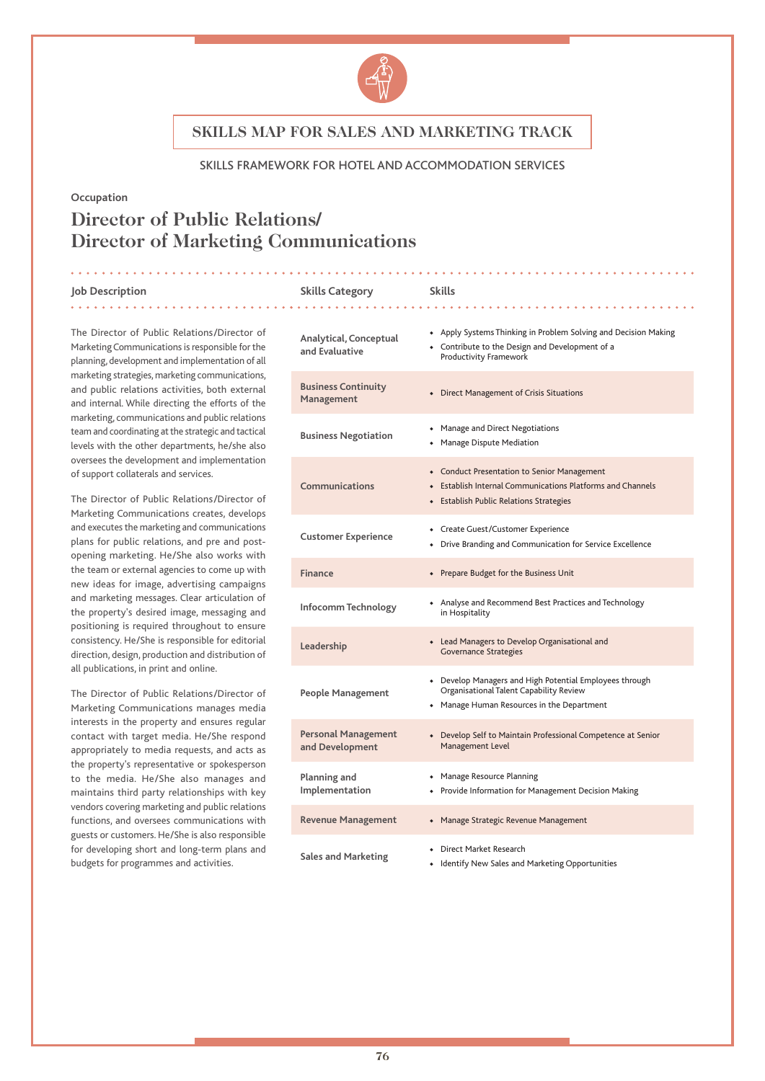

#### SKILLS FRAMEWORK FOR HOTEL AND ACCOMMODATION SERVICES

#### **Occupation**

# **Director of Public Relations/ Director of Marketing Communications**

#### **Job Description Skills Category Skills** . . . . . . . . . . . . .

The Director of Public Relations/Director of Marketing Communications is responsible for the planning, development and implementation of all marketing strategies, marketing communications, and public relations activities, both external and internal. While directing the efforts of the marketing, communications and public relations team and coordinating at the strategic and tactical levels with the other departments, he/she also oversees the development and implementation of support collaterals and services.

The Director of Public Relations/Director of Marketing Communications creates, develops and executes the marketing and communications plans for public relations, and pre and postopening marketing. He/She also works with the team or external agencies to come up with new ideas for image, advertising campaigns and marketing messages. Clear articulation of the property's desired image, messaging and positioning is required throughout to ensure consistency. He/She is responsible for editorial direction, design, production and distribution of all publications, in print and online.

The Director of Public Relations/Director of Marketing Communications manages media interests in the property and ensures regular contact with target media. He/She respond appropriately to media requests, and acts as the property's representative or spokesperson to the media. He/She also manages and maintains third party relationships with key vendors covering marketing and public relations functions, and oversees communications with guests or customers. He/She is also responsible for developing short and long-term plans and budgets for programmes and activities.

| Analytical, Conceptual<br>and Evaluative      | • Apply Systems Thinking in Problem Solving and Decision Making<br>• Contribute to the Design and Development of a<br>Productivity Framework         |
|-----------------------------------------------|------------------------------------------------------------------------------------------------------------------------------------------------------|
| <b>Business Continuity</b><br>Management      | • Direct Management of Crisis Situations                                                                                                             |
| <b>Business Negotiation</b>                   | • Manage and Direct Negotiations<br>• Manage Dispute Mediation                                                                                       |
| Communications                                | • Conduct Presentation to Senior Management<br>• Establish Internal Communications Platforms and Channels<br>• Establish Public Relations Strategies |
| <b>Customer Experience</b>                    | • Create Guest/Customer Experience<br>• Drive Branding and Communication for Service Excellence                                                      |
| <b>Finance</b>                                | • Prepare Budget for the Business Unit                                                                                                               |
| Infocomm Technology                           | • Analyse and Recommend Best Practices and Technology<br>in Hospitality                                                                              |
| Leadership                                    | • Lead Managers to Develop Organisational and<br><b>Governance Strategies</b>                                                                        |
| People Management                             | • Develop Managers and High Potential Employees through<br>Organisational Talent Capability Review<br>• Manage Human Resources in the Department     |
| <b>Personal Management</b><br>and Development | • Develop Self to Maintain Professional Competence at Senior<br>Management Level                                                                     |
| Planning and<br>Implementation                | • Manage Resource Planning<br>• Provide Information for Management Decision Making                                                                   |
| <b>Revenue Management</b>                     | • Manage Strategic Revenue Management                                                                                                                |
| <b>Sales and Marketing</b>                    | • Direct Market Research<br>• Identify New Sales and Marketing Opportunities                                                                         |

. . . . . . . . . .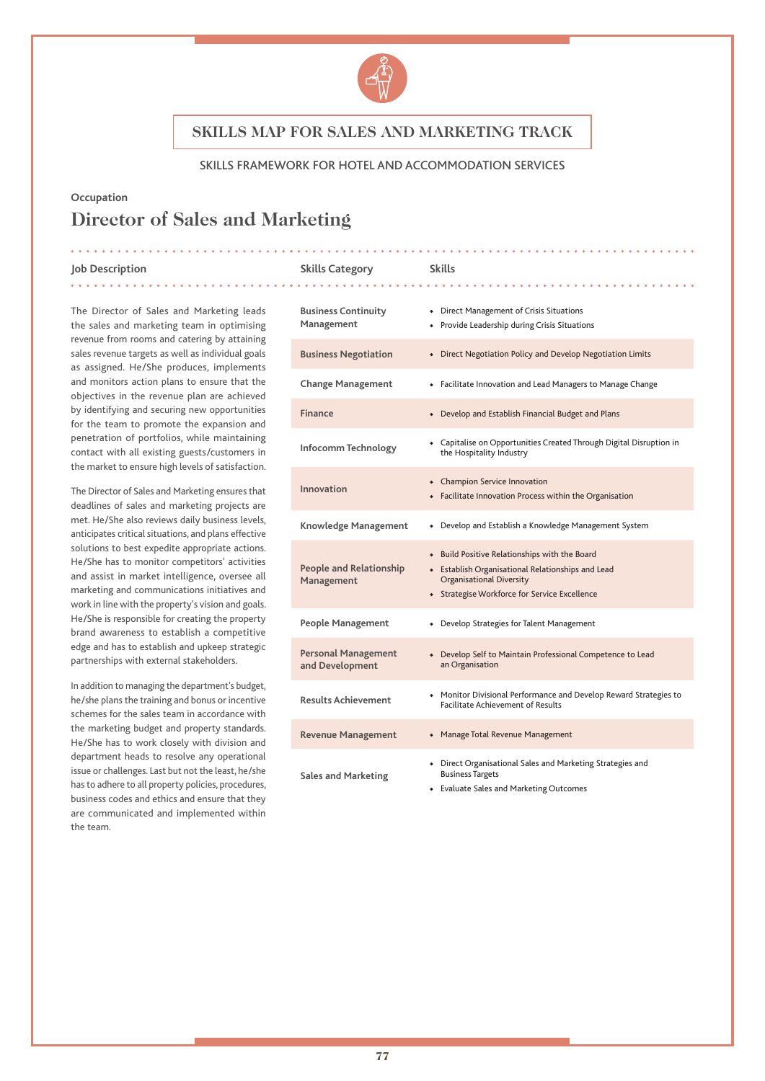

#### SKILLS FRAMEWORK FOR HOTEL AND ACCOMMODATION SERVICES

### **Occupation Director of Sales and Marketing**

#### **Job Description Skills Category Skills** . . . . . . . . . .

The Director of Sales and Marketing leads the sales and marketing team in optimising revenue from rooms and catering by attaining sales revenue targets as well as individual goals as assigned. He/She produces, implements and monitors action plans to ensure that the objectives in the revenue plan are achieved by identifying and securing new opportunities for the team to promote the expansion and penetration of portfolios, while maintaining contact with all existing guests/customers in the market to ensure high levels of satisfaction.

The Director of Sales and Marketing ensures that deadlines of sales and marketing projects are met. He/She also reviews daily business levels, anticipates critical situations, and plans effective solutions to best expedite appropriate actions. He/She has to monitor competitors' activities and assist in market intelligence, oversee all marketing and communications initiatives and work in line with the property's vision and goals. He/She is responsible for creating the property brand awareness to establish a competitive edge and has to establish and upkeep strategic partnerships with external stakeholders.

In addition to managing the department's budget, he/she plans the training and bonus or incentive schemes for the sales team in accordance with the marketing budget and property standards. He/She has to work closely with division and department heads to resolve any operational issue or challenges. Last but not the least, he/she has to adhere to all property policies, procedures, business codes and ethics and ensure that they are communicated and implemented within the team.

### **Business Continuity Management** ◆ Direct Management of Crisis Situations ◆ Provide Leadership during Crisis Situations **Business Negotiation** ◆ Direct Negotiation Policy and Develop Negotiation Limits **Change Management** ◆ Facilitate Innovation and Lead Managers to Manage Change Finance **• Performance • Performance <b>•** Develop and Establish Financial Budget and Plans **Infocomm Technology** ◆ Capitalise on Opportunities Created Through Digital Disruption in the Hospitality Industry **Innovation** ◆ Champion Service Innovation ◆ Facilitate Innovation Process within the Organisation **Knowledge Management** ◆ Develop and Establish a Knowledge Management System **People and Relationship Management** ◆ Build Positive Relationships with the Board ◆ Establish Organisational Relationships and Lead Organisational Diversity ◆ Strategise Workforce for Service Excellence **People Management** ◆ Develop Strategies for Talent Management **Personal Management and Development** ◆ Develop Self to Maintain Professional Competence to Lead an Organisation **Results Achievement** ◆ Monitor Divisional Performance and Develop Reward Strategies to Facilitate Achievement of Results **Revenue Management** ◆ Manage Total Revenue Management **Sales and Marketing** Direct Organisational Sales and Marketing Strategies and Business Targets ◆ Evaluate Sales and Marketing Outcomes